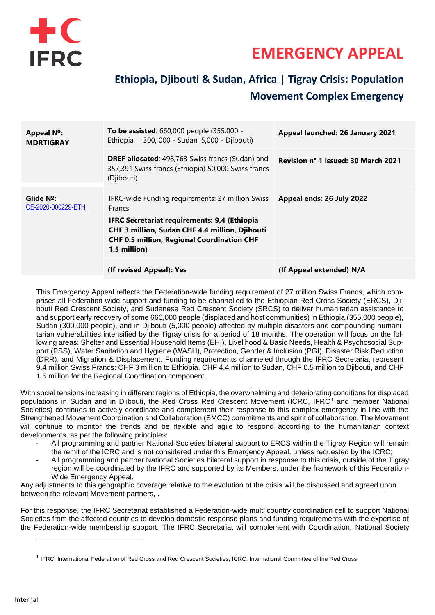

# **EMERGENCY APPEAL**

## **Ethiopia, Djibouti & Sudan, Africa | Tigray Crisis: Population Movement Complex Emergency**

| <b>Appeal Nº:</b><br><b>MDRTIGRAY</b> | <b>To be assisted:</b> 660,000 people (355,000 -<br>300, 000 - Sudan, 5,000 - Djibouti)<br>Ethiopia,                                                                                                                                                   | Appeal launched: 26 January 2021    |  |
|---------------------------------------|--------------------------------------------------------------------------------------------------------------------------------------------------------------------------------------------------------------------------------------------------------|-------------------------------------|--|
|                                       | <b>DREF allocated:</b> 498,763 Swiss francs (Sudan) and<br>357,391 Swiss francs (Ethiopia) 50,000 Swiss francs<br>(Djibouti)                                                                                                                           | Revision n° 1 issued: 30 March 2021 |  |
| Glide Nº:<br>CE-2020-000229-ETH       | IFRC-wide Funding requirements: 27 million Swiss<br><b>Francs</b><br><b>IFRC Secretariat requirements: 9,4 (Ethiopia</b><br><b>CHF 3 million, Sudan CHF 4.4 million, Djibouti</b><br><b>CHF 0.5 million, Regional Coordination CHF</b><br>1.5 million) | Appeal ends: 26 July 2022           |  |
|                                       | (If revised Appeal): Yes                                                                                                                                                                                                                               | (If Appeal extended) N/A            |  |

This Emergency Appeal reflects the Federation-wide funding requirement of 27 million Swiss Francs, which comprises all Federation-wide support and funding to be channelled to the Ethiopian Red Cross Society (ERCS), Djibouti Red Crescent Society, and Sudanese Red Crescent Society (SRCS) to deliver humanitarian assistance to and support early recovery of some 660,000 people (displaced and host communities) in Ethiopia (355,000 people), Sudan (300,000 people), and in Djibouti (5,000 people) affected by multiple disasters and compounding humanitarian vulnerabilities intensified by the Tigray crisis for a period of 18 months. The operation will focus on the following areas: Shelter and Essential Household Items (EHI), Livelihood & Basic Needs, Health & Psychosocial Support (PSS), Water Sanitation and Hygiene (WASH), Protection, Gender & Inclusion (PGI), Disaster Risk Reduction (DRR), and Migration & Displacement. Funding requirements channeled through the IFRC Secretariat represent 9.4 million Swiss Francs: CHF 3 million to Ethiopia, CHF 4.4 million to Sudan, CHF 0.5 million to Djibouti, and CHF 1.5 million for the Regional Coordination component.

With social tensions increasing in different regions of Ethiopia, the overwhelming and deteriorating conditions for displaced populations in Sudan and in Djibouti, the Red Cross Red Crescent Movement (ICRC, IFRC<sup>1</sup> and member National Societies) continues to actively coordinate and complement their response to this complex emergency in line with the Strengthened Movement Coordination and Collaboration (SMCC) commitments and spirit of collaboration. The Movement will continue to monitor the trends and be flexible and agile to respond according to the humanitarian context developments, as per the following principles:

- *-* All programming and partner National Societies bilateral support to ERCS within the Tigray Region will remain the remit of the ICRC and is not considered under this Emergency Appeal, unless requested by the ICRC;
- *-* All programming and partner National Societies bilateral support in response to this crisis, outside of the Tigray region will be coordinated by the IFRC and supported by its Members, under the framework of this Federation-Wide Emergency Appeal.

Any adjustments to this geographic coverage relative to the evolution of the crisis will be discussed and agreed upon between the relevant Movement partners, .

For this response, the IFRC Secretariat established a Federation-wide multi country coordination cell to support National Societies from the affected countries to develop domestic response plans and funding requirements with the expertise of the Federation-wide membership support. The IFRC Secretariat will complement with Coordination, National Society

<sup>&</sup>lt;sup>1</sup> IFRC: International Federation of Red Cross and Red Crescent Societies, ICRC: International Committee of the Red Cross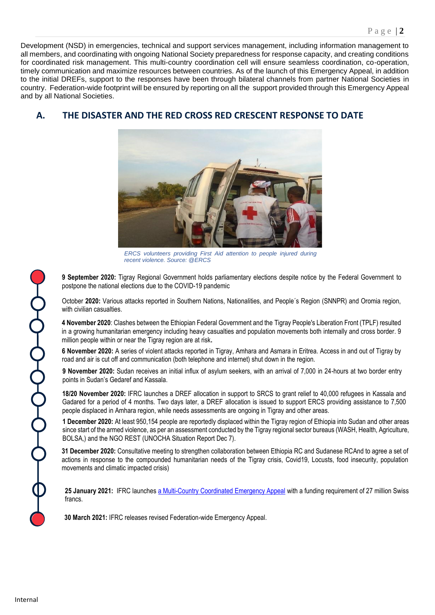Development (NSD) in emergencies, technical and support services management, including information management to all members, and coordinating with ongoing National Society preparedness for response capacity, and creating conditions for coordinated risk management. This multi-country coordination cell will ensure seamless coordination, co-operation, timely communication and maximize resources between countries. As of the launch of this Emergency Appeal, in addition to the initial DREFs, support to the responses have been through bilateral channels from partner National Societies in country. Federation-wide footprint will be ensured by reporting on all the support provided through this Emergency Appeal and by all National Societies.

## **A. THE DISASTER AND THE RED CROSS RED CRESCENT RESPONSE TO DATE**



*ERCS volunteers providing First Aid attention to people injured during recent violence. Source: @ERCS*

**9 September 2020:** Tigray Regional Government holds parliamentary elections despite notice by the Federal Government to postpone the national elections due to the COVID-19 pandemic

October **2020:** Various attacks reported in Southern Nations, Nationalities, and People´s Region (SNNPR) and Oromia region, with civilian casualties.

**4 November 2020**: Clashes between the Ethiopian Federal Government and the Tigray People's Liberation Front (TPLF) resulted in a growing humanitarian emergency including heavy casualties and population movements both internally and cross border. 9 million people within or near the Tigray region are at risk**.**

**6 November 2020:** A series of violent attacks reported in Tigray, Amhara and Asmara in Eritrea. Access in and out of Tigray by road and air is cut off and communication (both telephone and internet) shut down in the region.

**9 November 2020:** Sudan receives an initial influx of asylum seekers, with an arrival of 7,000 in 24-hours at two border entry points in Sudan's Gedaref and Kassala.

**18/20 November 2020:** IFRC launches a DREF allocation in support to SRCS to grant relief to 40,000 refugees in Kassala and Gadared for a period of 4 months. Two days later, a DREF allocation is issued to support ERCS providing assistance to 7,500 people displaced in Amhara region, while needs assessments are ongoing in Tigray and other areas.

**1 December 2020:** At least 950,154 people are reportedly displaced within the Tigray region of Ethiopia into Sudan and other areas since start of the armed violence, as per an assessment conducted by the Tigray regional sector bureaus (WASH, Health, Agriculture, BOLSA,) and the NGO REST (UNOCHA Situation Report Dec 7).

**31 December 2020:** Consultative meeting to strengthen collaboration between Ethiopia RC and Sudanese RCAnd to agree a set of actions in response to the compounded humanitarian needs of the Tigray crisis, Covid19, Locusts, food insecurity, population movements and climatic impacted crisis)

**25 January 2021:** IFRC launche[s a Multi-Country Coordinated Emergency Appeal](https://adore.ifrc.org/Download.aspx?FileId=381445) with a funding requirement of 27 million Swiss francs.

**30 March 2021:** IFRC releases revised Federation-wide Emergency Appeal.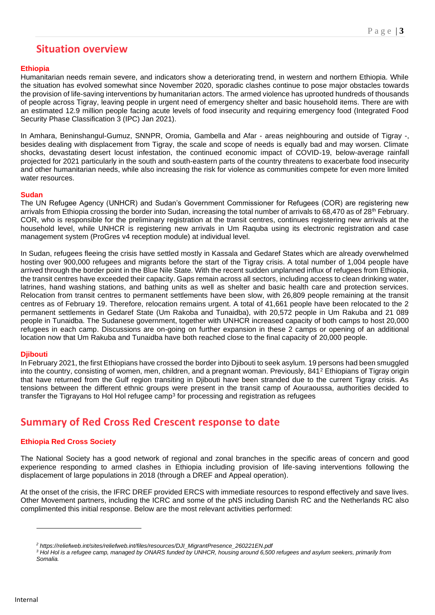## **Situation overview**

### **Ethiopia**

Humanitarian needs remain severe, and indicators show a deteriorating trend, in western and northern Ethiopia. While the situation has evolved somewhat since November 2020, sporadic clashes continue to pose major obstacles towards the provision of life-saving interventions by humanitarian actors. The armed violence has uprooted hundreds of thousands of people across Tigray, leaving people in urgent need of emergency shelter and basic household items. There are with an estimated 12.9 million people facing acute levels of food insecurity and requiring emergency food (Integrated Food Security Phase Classification 3 (IPC) Jan 2021).

In Amhara, Beninshangul-Gumuz, SNNPR, Oromia, Gambella and Afar - areas neighbouring and outside of Tigray -, besides dealing with displacement from Tigray, the scale and scope of needs is equally bad and may worsen. Climate shocks, devastating desert locust infestation, the continued economic impact of COVID-19, below-average rainfall projected for 2021 particularly in the south and south-eastern parts of the country threatens to exacerbate food insecurity and other humanitarian needs, while also increasing the risk for violence as communities compete for even more limited water resources.

### **Sudan**

The UN Refugee Agency (UNHCR) and Sudan's Government Commissioner for Refugees (COR) are registering new arrivals from Ethiopia crossing the border into Sudan, increasing the total number of arrivals to 68,470 as of 28<sup>th</sup> February. COR, who is responsible for the preliminary registration at the transit centres, continues registering new arrivals at the household level, while UNHCR is registering new arrivals in Um Raquba using its electronic registration and case management system (ProGres v4 reception module) at individual level.

In Sudan, refugees fleeing the crisis have settled mostly in Kassala and Gedaref States which are already overwhelmed hosting over 900,000 refugees and migrants before the start of the Tigray crisis. A total number of 1,004 people have arrived through the border point in the Blue Nile State. With the recent sudden unplanned influx of refugees from Ethiopia, the transit centres have exceeded their capacity. Gaps remain across all sectors, including access to clean drinking water, latrines, hand washing stations, and bathing units as well as shelter and basic health care and protection services. Relocation from transit centres to permanent settlements have been slow, with 26,809 people remaining at the transit centres as of February 19. Therefore, relocation remains urgent. A total of 41,661 people have been relocated to the 2 permanent settlements in Gedaref State (Um Rakoba and Tunaidba), with 20,572 people in Um Rakuba and 21 089 people in Tunaidba. The Sudanese government, together with UNHCR increased capacity of both camps to host 20,000 refugees in each camp. Discussions are on-going on further expansion in these 2 camps or opening of an additional location now that Um Rakuba and Tunaidba have both reached close to the final capacity of 20,000 people.

### **Djibouti**

In February 2021, the first Ethiopians have crossed the border into Djibouti to seek asylum. 19 persons had been smuggled into the country, consisting of women, men, children, and a pregnant woman. Previously, 841<sup>2</sup> Ethiopians of Tigray origin that have returned from the Gulf region transiting in Djibouti have been stranded due to the current Tigray crisis. As tensions between the different ethnic groups were present in the transit camp of Aouraoussa, authorities decided to transfer the Tigrayans to Hol Hol refugee camp $^3$  for processing and registration as refugees

## **Summary of Red Cross Red Crescent response to date**

### **Ethiopia Red Cross Society**

The National Society has a good network of regional and zonal branches in the specific areas of concern and good experience responding to armed clashes in Ethiopia including provision of life-saving interventions following the displacement of large populations in 2018 (through a DREF and Appeal operation).

At the onset of the crisis, the IFRC DREF provided ERCS with immediate resources to respond effectively and save lives. Other Movement partners, including the ICRC and some of the pNS including Danish RC and the Netherlands RC also complimented this initial response. Below are the most relevant activities performed:

*<sup>2</sup> https://reliefweb.int/sites/reliefweb.int/files/resources/DJI\_MigrantPresence\_260221EN.pdf*

*<sup>3</sup> Hol Hol is a refugee camp, managed by ONARS funded by UNHCR, housing around 6,500 refugees and asylum seekers, primarily from Somalia.*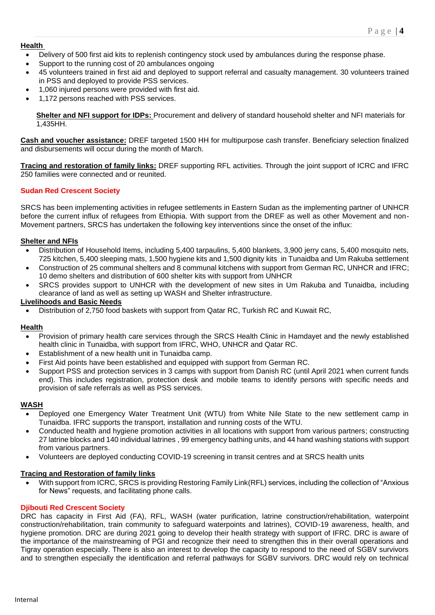### **Health**

- Delivery of 500 first aid kits to replenish contingency stock used by ambulances during the response phase.
- Support to the running cost of 20 ambulances ongoing
- 45 volunteers trained in first aid and deployed to support referral and casualty management. 30 volunteers trained in PSS and deployed to provide PSS services.
- 1,060 injured persons were provided with first aid.
- 1,172 persons reached with PSS services.

**Shelter and NFI support for IDPs:** Procurement and delivery of standard household shelter and NFI materials for 1,435HH.

**Cash and voucher assistance:** DREF targeted 1500 HH for multipurpose cash transfer. Beneficiary selection finalized and disbursements will occur during the month of March.

**Tracing and restoration of family links:** DREF supporting RFL activities. Through the joint support of ICRC and IFRC 250 families were connected and or reunited.

### **Sudan Red Crescent Society**

SRCS has been implementing activities in refugee settlements in Eastern Sudan as the implementing partner of UNHCR before the current influx of refugees from Ethiopia. With support from the DREF as well as other Movement and non-Movement partners, SRCS has undertaken the following key interventions since the onset of the influx:

### **Shelter and NFIs**

- Distribution of Household Items, including 5,400 tarpaulins, 5,400 blankets, 3,900 jerry cans, 5,400 mosquito nets, 725 kitchen, 5,400 sleeping mats, 1,500 hygiene kits and 1,500 dignity kits in Tunaidba and Um Rakuba settlement
- Construction of 25 communal shelters and 8 communal kitchens with support from German RC, UNHCR and IFRC; 10 demo shelters and distribution of 600 shelter kits with support from UNHCR
- SRCS provides support to UNHCR with the development of new sites in Um Rakuba and Tunaidba, including clearance of land as well as setting up WASH and Shelter infrastructure.

### **Livelihoods and Basic Needs**

• Distribution of 2,750 food baskets with support from Qatar RC, Turkish RC and Kuwait RC,

### **Health**

- Provision of primary health care services through the SRCS Health Clinic in Hamdayet and the newly established health clinic in Tunaidba, with support from IFRC, WHO, UNHCR and Qatar RC.
- Establishment of a new health unit in Tunaidba camp.
- First Aid points have been established and equipped with support from German RC.
- Support PSS and protection services in 3 camps with support from Danish RC (until April 2021 when current funds end). This includes registration, protection desk and mobile teams to identify persons with specific needs and provision of safe referrals as well as PSS services.

### **WASH**

- Deployed one Emergency Water Treatment Unit (WTU) from White Nile State to the new settlement camp in Tunaidba. IFRC supports the transport, installation and running costs of the WTU.
- Conducted health and hygiene promotion activities in all locations with support from various partners; constructing 27 latrine blocks and 140 individual latrines , 99 emergency bathing units, and 44 hand washing stations with support from various partners.
- Volunteers are deployed conducting COVID-19 screening in transit centres and at SRCS health units

### **Tracing and Restoration of family links**

With support from ICRC, SRCS is providing Restoring Family Link(RFL) services, including the collection of "Anxious for News" requests, and facilitating phone calls.

### **Djibouti Red Crescent Society**

DRC has capacity in First Aid (FA), RFL, WASH (water purification, latrine construction/rehabilitation, waterpoint construction/rehabilitation, train community to safeguard waterpoints and latrines), COVID-19 awareness, health, and hygiene promotion. DRC are during 2021 going to develop their health strategy with support of IFRC. DRC is aware of the importance of the mainstreaming of PGI and recognize their need to strengthen this in their overall operations and Tigray operation especially. There is also an interest to develop the capacity to respond to the need of SGBV survivors and to strengthen especially the identification and referral pathways for SGBV survivors. DRC would rely on technical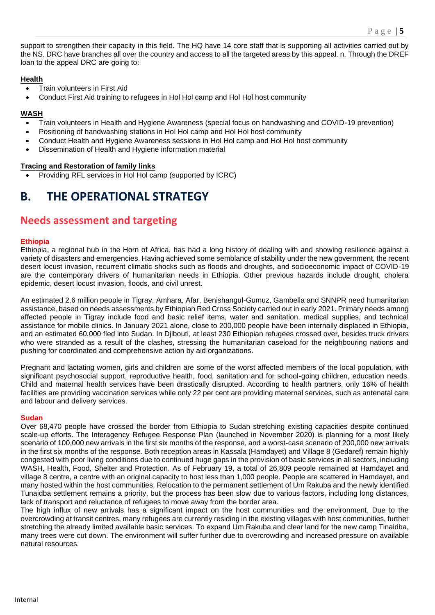support to strengthen their capacity in this field. The HQ have 14 core staff that is supporting all activities carried out by the NS. DRC have branches all over the country and access to all the targeted areas by this appeal. n. Through the DREF loan to the appeal DRC are going to:

### **Health**

- Train volunteers in First Aid
- Conduct First Aid training to refugees in Hol Hol camp and Hol Hol host community

### **WASH**

- Train volunteers in Health and Hygiene Awareness (special focus on handwashing and COVID-19 prevention)
- Positioning of handwashing stations in Hol Hol camp and Hol Hol host community
- Conduct Health and Hygiene Awareness sessions in Hol Hol camp and Hol Hol host community
- Dissemination of Health and Hygiene information material

### **Tracing and Restoration of family links**

• Providing RFL services in Hol Hol camp (supported by ICRC)

## **B. THE OPERATIONAL STRATEGY**

## **Needs assessment and targeting**

### **Ethiopia**

Ethiopia, a regional hub in the Horn of Africa, has had a long history of dealing with and showing resilience against a variety of disasters and emergencies. Having achieved some semblance of stability under the new government, the recent desert locust invasion, recurrent climatic shocks such as floods and droughts, and socioeconomic impact of COVID-19 are the contemporary drivers of humanitarian needs in Ethiopia. Other previous hazards include drought, cholera epidemic, desert locust invasion, floods, and civil unrest.

An estimated 2.6 million people in Tigray, Amhara, Afar, Benishangul-Gumuz, Gambella and SNNPR need humanitarian assistance, based on needs assessments by Ethiopian Red Cross Society carried out in early 2021. Primary needs among affected people in Tigray include food and basic relief items, water and sanitation, medical supplies, and technical assistance for mobile clinics. In January 2021 alone, close to 200,000 people have been internally displaced in Ethiopia, and an estimated 60,000 fled into Sudan. In Djibouti, at least 230 Ethiopian refugees crossed over, besides truck drivers who were stranded as a result of the clashes, stressing the humanitarian caseload for the neighbouring nations and pushing for coordinated and comprehensive action by aid organizations.

Pregnant and lactating women, girls and children are some of the worst affected members of the local population, with significant psychosocial support, reproductive health, food, sanitation and for school-going children, education needs. Child and maternal health services have been drastically disrupted. According to health partners, only 16% of health facilities are providing vaccination services while only 22 per cent are providing maternal services, such as antenatal care and labour and delivery services.

### **Sudan**

Over 68,470 people have crossed the border from Ethiopia to Sudan stretching existing capacities despite continued scale-up efforts. The Interagency Refugee Response Plan (launched in November 2020) is planning for a most likely scenario of 100,000 new arrivals in the first six months of the response, and a worst-case scenario of 200,000 new arrivals in the first six months of the response. Both reception areas in Kassala (Hamdayet) and Village 8 (Gedaref) remain highly congested with poor living conditions due to continued huge gaps in the provision of basic services in all sectors, including WASH, Health, Food, Shelter and Protection. As of February 19, a total of 26,809 people remained at Hamdayet and village 8 centre, a centre with an original capacity to host less than 1,000 people. People are scattered in Hamdayet, and many hosted within the host communities. Relocation to the permanent settlement of Um Rakuba and the newly identified Tunaidba settlement remains a priority, but the process has been slow due to various factors, including long distances, lack of transport and reluctance of refugees to move away from the border area.

The high influx of new arrivals has a significant impact on the host communities and the environment. Due to the overcrowding at transit centres, many refugees are currently residing in the existing villages with host communities, further stretching the already limited available basic services. To expand Um Rakuba and clear land for the new camp Tinaidba, many trees were cut down. The environment will suffer further due to overcrowding and increased pressure on available natural resources.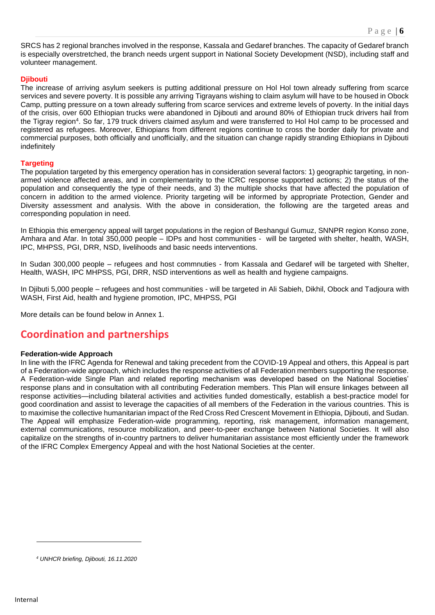SRCS has 2 regional branches involved in the response, Kassala and Gedaref branches. The capacity of Gedaref branch is especially overstretched, the branch needs urgent support in National Society Development (NSD), including staff and volunteer management.

### **Djibouti**

The increase of arriving asylum seekers is putting additional pressure on Hol Hol town already suffering from scarce services and severe poverty. It is possible any arriving Tigrayans wishing to claim asylum will have to be housed in Obock Camp, putting pressure on a town already suffering from scarce services and extreme levels of poverty. In the initial days of the crisis, over 600 Ethiopian trucks were abandoned in Djibouti and around 80% of Ethiopian truck drivers hail from the Tigray region<sup>4</sup>. So far, 179 truck drivers claimed asylum and were transferred to Hol Hol camp to be processed and registered as refugees. Moreover, Ethiopians from different regions continue to cross the border daily for private and commercial purposes, both officially and unofficially, and the situation can change rapidly stranding Ethiopians in Djibouti indefinitely

### **Targeting**

The population targeted by this emergency operation has in consideration several factors: 1) geographic targeting, in nonarmed violence affected areas, and in complementarity to the ICRC response supported actions; 2) the status of the population and consequently the type of their needs, and 3) the multiple shocks that have affected the population of concern in addition to the armed violence. Priority targeting will be informed by appropriate Protection, Gender and Diversity assessment and analysis. With the above in consideration, the following are the targeted areas and corresponding population in need.

In Ethiopia this emergency appeal will target populations in the region of Beshangul Gumuz, SNNPR region Konso zone, Amhara and Afar. In total 350,000 people – IDPs and host communities - will be targeted with shelter, health, WASH, IPC, MHPSS, PGI, DRR, NSD, livelihoods and basic needs interventions.

In Sudan 300,000 people – refugees and host commnuties - from Kassala and Gedaref will be targeted with Shelter, Health, WASH, IPC MHPSS, PGI, DRR, NSD interventions as well as health and hygiene campaigns.

In Djibuti 5,000 people – refugees and host communities - will be targeted in Ali Sabieh, Dikhil, Obock and Tadjoura with WASH, First Aid, health and hygiene promotion, IPC, MHPSS, PGI

More details can be found below in Annex 1.

## **Coordination and partnerships**

### **Federation-wide Approach**

In line with the IFRC Agenda for Renewal and taking precedent from the COVID-19 Appeal and others, this Appeal is part of a Federation-wide approach, which includes the response activities of all Federation members supporting the response. A Federation-wide Single Plan and related reporting mechanism was developed based on the National Societies' response plans and in consultation with all contributing Federation members. This Plan will ensure linkages between all response activities—including bilateral activities and activities funded domestically, establish a best-practice model for good coordination and assist to leverage the capacities of all members of the Federation in the various countries. This is to maximise the collective humanitarian impact of the Red Cross Red Crescent Movement in Ethiopia, Djibouti, and Sudan. The Appeal will emphasize Federation-wide programming, reporting, risk management, information management, external communications, resource mobilization, and peer-to-peer exchange between National Societies. It will also capitalize on the strengths of in-country partners to deliver humanitarian assistance most efficiently under the framework of the IFRC Complex Emergency Appeal and with the host National Societies at the center.

*<sup>4</sup> UNHCR briefing, Djibouti, 16.11.2020*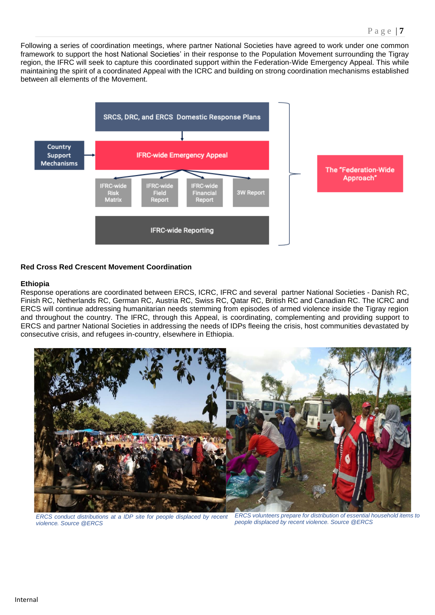Following a series of coordination meetings, where partner National Societies have agreed to work under one common framework to support the host National Societies' in their response to the Population Movement surrounding the Tigray region, the IFRC will seek to capture this coordinated support within the Federation-Wide Emergency Appeal. This while maintaining the spirit of a coordinated Appeal with the ICRC and building on strong coordination mechanisms established between all elements of the Movement.



### **Red Cross Red Crescent Movement Coordination**

### **Ethiopia**

Response operations are coordinated between ERCS, ICRC, IFRC and several partner National Societies - Danish RC, Finish RC, Netherlands RC, German RC, Austria RC, Swiss RC, Qatar RC, British RC and Canadian RC. The ICRC and ERCS will continue addressing humanitarian needs stemming from episodes of armed violence inside the Tigray region and throughout the country. The IFRC, through this Appeal, is coordinating, complementing and providing support to ERCS and partner National Societies in addressing the needs of IDPs fleeing the crisis, host communities devastated by consecutive crisis, and refugees in-country, elsewhere in Ethiopia.



*ERCS conduct distributions at a IDP site for people displaced by recent violence. Source @ERCS* 

*ERCS volunteers prepare for distribution of essential household items to people displaced by recent violence. Source @ERCS*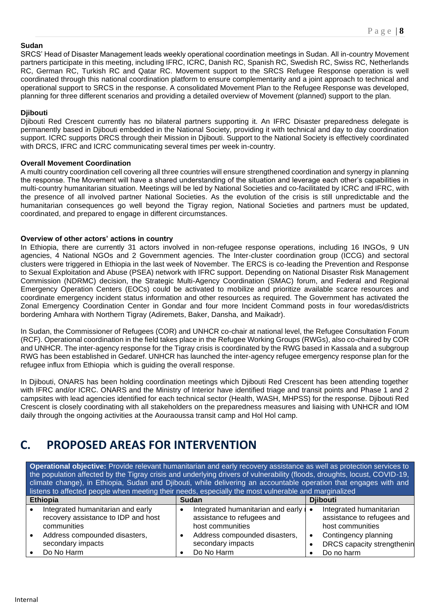### **Sudan**

SRCS' Head of Disaster Management leads weekly operational coordination meetings in Sudan. All in-country Movement partners participate in this meeting, including IFRC, ICRC, Danish RC, Spanish RC, Swedish RC, Swiss RC, Netherlands RC, German RC, Turkish RC and Qatar RC. Movement support to the SRCS Refugee Response operation is well coordinated through this national coordination platform to ensure complementarity and a joint approach to technical and operational support to SRCS in the response. A consolidated Movement Plan to the Refugee Response was developed, planning for three different scenarios and providing a detailed overview of Movement (planned) support to the plan.

### **Djibouti**

Djibouti Red Crescent currently has no bilateral partners supporting it. An IFRC Disaster preparedness delegate is permanently based in Djibouti embedded in the National Society, providing it with technical and day to day coordination support. ICRC supports DRCS through their Mission in Djibouti. Support to the National Society is effectively coordinated with DRCS, IFRC and ICRC communicating several times per week in-country.

### **Overall Movement Coordination**

A multi country coordination cell covering all three countries will ensure strengthened coordination and synergy in planning the response. The Movement will have a shared understanding of the situation and leverage each other's capabilities in multi-country humanitarian situation. Meetings will be led by National Societies and co-facilitated by ICRC and IFRC, with the presence of all involved partner National Societies. As the evolution of the crisis is still unpredictable and the humanitarian consequences go well beyond the Tigray region, National Societies and partners must be updated, coordinated, and prepared to engage in different circumstances.

### **Overview of other actors' actions in country**

In Ethiopia, there are currently 31 actors involved in non-refugee response operations, including 16 INGOs, 9 UN agencies, 4 National NGOs and 2 Government agencies. The Inter-cluster coordination group (ICCG) and sectoral clusters were triggered in Ethiopia in the last week of November. The ERCS is co-leading the Prevention and Response to Sexual Exploitation and Abuse (PSEA) network with IFRC support. Depending on National Disaster Risk Management Commission (NDRMC) decision, the Strategic Multi-Agency Coordination (SMAC) forum, and Federal and Regional Emergency Operation Centers (EOCs) could be activated to mobilize and prioritize available scarce resources and coordinate emergency incident status information and other resources as required. The Government has activated the Zonal Emergency Coordination Center in Gondar and four more Incident Command posts in four woredas/districts bordering Amhara with Northern Tigray (Adiremets, Baker, Dansha, and Maikadr).

In Sudan, the Commissioner of Refugees (COR) and UNHCR co-chair at national level, the Refugee Consultation Forum (RCF). Operational coordination in the field takes place in the Refugee Working Groups (RWGs), also co-chaired by COR and UNHCR. The inter-agency response for the Tigray crisis is coordinated by the RWG based in Kassala and a subgroup RWG has been established in Gedaref. UNHCR has launched the inter-agency refugee emergency response plan for the refugee influx from Ethiopia which is guiding the overall response.

In Djibouti, ONARS has been holding coordination meetings which Djibouti Red Crescent has been attending together with IFRC and/or ICRC. ONARS and the Ministry of Interior have identified triage and transit points and Phase 1 and 2 campsites with lead agencies identified for each technical sector (Health, WASH, MHPSS) for the response. Djibouti Red Crescent is closely coordinating with all stakeholders on the preparedness measures and liaising with UNHCR and IOM daily through the ongoing activities at the Aouraoussa transit camp and Hol Hol camp.

## **C. PROPOSED AREAS FOR INTERVENTION**

**Operational objective:** Provide relevant humanitarian and early recovery assistance as well as protection services to the population affected by the Tigray crisis and underlying drivers of vulnerability (floods, droughts, locust, COVID-19, climate change), in Ethiopia, Sudan and Djibouti, while delivering an accountable operation that engages with and listens to affected people when meeting their needs, especially the most vulnerable and marginalized

| <b>Ethiopia</b> |                                     | <b>Sudan</b> |                                           |  | <b>Diibouti</b>            |  |
|-----------------|-------------------------------------|--------------|-------------------------------------------|--|----------------------------|--|
|                 | Integrated humanitarian and early   |              | Integrated humanitarian and early $\cdot$ |  | Integrated humanitarian    |  |
|                 | recovery assistance to IDP and host |              | assistance to refugees and                |  | assistance to refugees and |  |
|                 | communities                         |              | host communities                          |  | host communities           |  |
|                 | Address compounded disasters,       |              | Address compounded disasters,             |  | Contingency planning       |  |
|                 | secondary impacts                   |              | secondary impacts                         |  | DRCS capacity strengthenin |  |
|                 | Do No Harm                          |              | Do No Harm                                |  | Do no harm                 |  |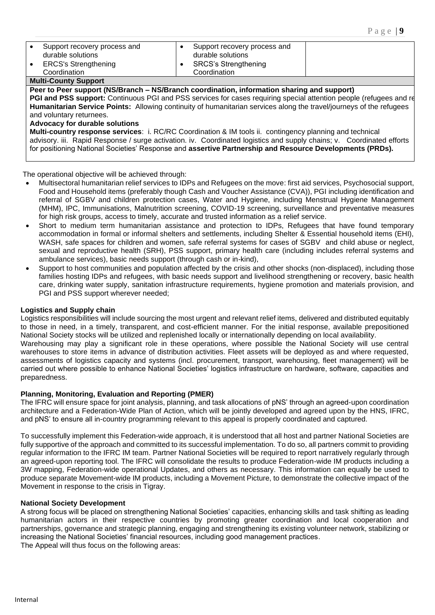| Support recovery process and<br>$\bullet$<br>durable solutions<br><b>ERCS's Strengthening</b><br>$\bullet$<br>Coordination                                                                                                                                            | Support recovery process and<br>durable solutions<br><b>SRCS's Strengthening</b><br>Coordination |  |  |  |
|-----------------------------------------------------------------------------------------------------------------------------------------------------------------------------------------------------------------------------------------------------------------------|--------------------------------------------------------------------------------------------------|--|--|--|
| <b>Multi-County Support</b>                                                                                                                                                                                                                                           |                                                                                                  |  |  |  |
| Peer to Peer support (NS/Branch – NS/Branch coordination, information sharing and support)                                                                                                                                                                            |                                                                                                  |  |  |  |
| PGI and PSS support: Continuous PGI and PSS services for cases requiring special attention people (refugees and re<br>Humanitarian Service Points: Allowing continuity of humanitarian services along the travel/journeys of the refugees<br>and voluntary returnees. |                                                                                                  |  |  |  |
| Advocacy for durable solutions<br>Multi-country response services: i. RC/RC Coordination & IM tools ii. contingency planning and technical                                                                                                                            |                                                                                                  |  |  |  |
| advisory. iii. Rapid Response / surge activation. iv. Coordinated logistics and supply chains; v. Coordinated efforts<br>for positioning National Societies' Response and assertive Partnership and Resource Developments (PRDs).                                     |                                                                                                  |  |  |  |

The operational objective will be achieved through:

- Multisectoral humanitarian relief services to IDPs and Refugees on the move: first aid services, Psychosocial support, Food and Household items (preferably though Cash and Voucher Assistance (CVA)), PGI including identification and referral of SGBV and children protection cases, Water and Hygiene, including Menstrual Hygiene Management (MHM), IPC, Immunisations, Malnutrition screening, COVID-19 screening, surveillance and preventative measures for high risk groups, access to timely, accurate and trusted information as a relief service.
- Short to medium term humanitarian assistance and protection to IDPs, Refugees that have found temporary accommodation in formal or informal shelters and settlements, including Shelter & Essential household items (EHI), WASH, safe spaces for children and women, safe referral systems for cases of SGBV and child abuse or neglect, sexual and reproductive health (SRH), PSS support, primary health care (including includes referral systems and ambulance services), basic needs support (through cash or in-kind),
- Support to host communities and population affected by the crisis and other shocks (non-displaced), including those families hosting IDPs and refugees, with basic needs support and livelihood strengthening or recovery, basic health care, drinking water supply, sanitation infrastructure requirements, hygiene promotion and materials provision, and PGI and PSS support wherever needed;

### **Logistics and Supply chain**

Logistics responsibilities will include sourcing the most urgent and relevant relief items, delivered and distributed equitably to those in need, in a timely, transparent, and cost-efficient manner. For the initial response, available prepositioned National Society stocks will be utilized and replenished locally or internationally depending on local availability. Warehousing may play a significant role in these operations, where possible the National Society will use central

warehouses to store items in advance of distribution activities. Fleet assets will be deployed as and where requested, assessments of logistics capacity and systems (incl. procurement, transport, warehousing, fleet management) will be carried out where possible to enhance National Societies' logistics infrastructure on hardware, software, capacities and preparedness.

### **Planning, Monitoring, Evaluation and Reporting (PMER)**

The IFRC will ensure space for joint analysis, planning, and task allocations of pNS' through an agreed-upon coordination architecture and a Federation-Wide Plan of Action, which will be jointly developed and agreed upon by the HNS, IFRC, and pNS' to ensure all in-country programming relevant to this appeal is properly coordinated and captured.

To successfully implement this Federation-wide approach, it is understood that all host and partner National Societies are fully supportive of the approach and committed to its successful implementation. To do so, all partners commit to providing regular information to the IFRC IM team. Partner National Societies will be required to report narratively regularly through an agreed-upon reporting tool. The IFRC will consolidate the results to produce Federation-wide IM products including a 3W mapping, Federation-wide operational Updates, and others as necessary. This information can equally be used to produce separate Movement-wide IM products, including a Movement Picture, to demonstrate the collective impact of the Movement in response to the crisis in Tigray.

### **National Society Development**

A strong focus will be placed on strengthening National Societies' capacities, enhancing skills and task shifting as leading humanitarian actors in their respective countries by promoting greater coordination and local cooperation and partnerships, governance and strategic planning, engaging and strengthening its existing volunteer network, stabilizing or increasing the National Societies' financial resources, including good management practices. The Appeal will thus focus on the following areas: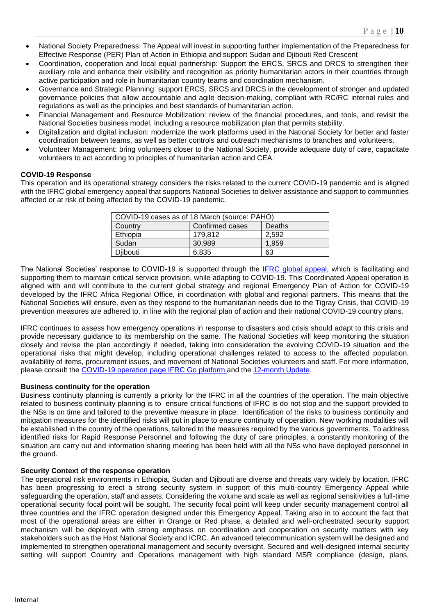- National Society Preparedness: The Appeal will invest in supporting further implementation of the Preparedness for Effective Response (PER) Plan of Action in Ethiopia and support Sudan and Djibouti Red Crescent
- Coordination, cooperation and local equal partnership: Support the ERCS, SRCS and DRCS to strengthen their auxiliary role and enhance their visibility and recognition as priority humanitarian actors in their countries through active participation and role in humanitarian country teams and coordination mechanism.
- Governance and Strategic Planning: support ERCS, SRCS and DRCS in the development of stronger and updated governance policies that allow accountable and agile decision-making, compliant with RC/RC internal rules and regulations as well as the principles and best standards of humanitarian action.
- Financial Management and Resource Mobilization: review of the financial procedures, and tools, and revisit the National Societies business model, including a resource mobilization plan that permits stability.
- Digitalization and digital inclusion: modernize the work platforms used in the National Society for better and faster coordination between teams, as well as better controls and outreach mechanisms to branches and volunteers.
- Volunteer Management: bring volunteers closer to the National Society, provide adequate duty of care, capacitate volunteers to act according to principles of humanitarian action and CEA.

### **COVID-19 Response**

This operation and its operational strategy considers the risks related to the current COVID-19 pandemic and is aligned with the IFRC global emergency appeal that supports National Societies to deliver assistance and support to communities affected or at risk of being affected by the COVID-19 pandemic.

| COVID-19 cases as of 18 March (source: PAHO) |                 |        |  |
|----------------------------------------------|-----------------|--------|--|
| Country                                      | Confirmed cases | Deaths |  |
| Ethiopia                                     | 179.812         | 2.592  |  |
| Sudan                                        | 30.989          | 1.959  |  |
| Diibouti                                     | 6,835           | 63     |  |

The National Societies' response to COVID-19 is supported through the [IFRC global appeal,](https://www.ifrc.org/en/publications-and-reports/appeals/?ac=MDRCOVID19&at=0&c=&co=&dt=1&f=&re=&t=&ti=&zo=) which is facilitating and supporting them to maintain critical service provision, while adapting to COVID-19. This Coordinated Appeal operation is aligned with and will contribute to the current global strategy and regional Emergency Plan of Action for COVID-19 developed by the IFRC Africa Regional Office, in coordination with global and regional partners. This means that the National Societies will ensure, even as they respond to the humanitarian needs due to the Tigray Crisis, that COVID-19 prevention measures are adhered to, in line with the regional plan of action and their national COVID-19 country plans.

IFRC continues to assess how emergency operations in response to disasters and crisis should adapt to this crisis and provide necessary guidance to its membership on the same. The National Societies will keep monitoring the situation closely and revise the plan accordingly if needed, taking into consideration the evolving COVID-19 situation and the operational risks that might develop, including operational challenges related to access to the affected population, availability of items, procurement issues, and movement of National Societies volunteers and staff. For more information, please consult the [COVID-19 operation page](https://go.ifrc.org/emergencies/3972#details) [IFRC Go platform](https://go.ifrc.org/emergencies/3972#details) and the [12-month Update.](https://adore.ifrc.org/Download.aspx?FileId=390029)

### **Business continuity for the operation**

Business continuity planning is currently a priority for the IFRC in all the countries of the operation. The main objective related to business continuity planning is to ensure critical functions of IFRC is do not stop and the support provided to the NSs is on time and tailored to the preventive measure in place. Identification of the risks to business continuity and mitigation measures for the identified risks will put in place to ensure continuity of operation. New working modalities will be established in the country of the operations, tailored to the measures required by the various governments. To address identified risks for Rapid Response Personnel and following the duty of care principles, a constantly monitoring of the situation are carry out and information sharing meeting has been held with all the NSs who have deployed personnel in the ground.

### **Security Context of the response operation**

The operational risk environments in Ethiopia, Sudan and Djibouti are diverse and threats vary widely by location. IFRC has been progressing to erect a strong security system in support of this multi-country Emergency Appeal while safeguarding the operation, staff and assets. Considering the volume and scale as well as regional sensitivities a full-time operational security focal point will be sought. The security focal point will keep under security management control all three countries and the IFRC operation designed under this Emergency Appeal. Taking also in to account the fact that most of the operational areas are either in Orange or Red phase, a detailed and well-orchestrated security support mechanism will be deployed with strong emphasis on coordination and cooperation on security matters with key stakeholders such as the Host National Society and ICRC. An advanced telecommunication system will be designed and implemented to strengthen operational management and security oversight. Secured and well-designed internal security setting will support Country and Operations management with high standard MSR compliance (design, plans,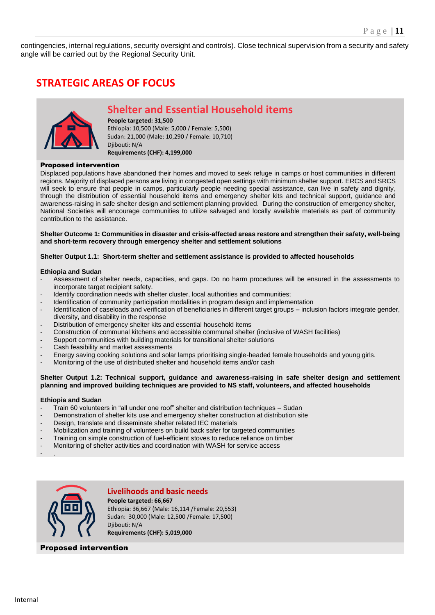contingencies, internal regulations, security oversight and controls). Close technical supervision from a security and safety angle will be carried out by the Regional Security Unit.

## **STRATEGIC AREAS OF FOCUS**



## **Shelter and Essential Household items**

**People targeted: 31,500**  Ethiopia: 10,500 (Male: 5,000 / Female: 5,500) Sudan: 21,000 (Male: 10,290 / Female: 10,710) Djibouti: N/A **Requirements (CHF): 4,199,000**

### Proposed intervention

Displaced populations have abandoned their homes and moved to seek refuge in camps or host communities in different regions. Majority of displaced persons are living in congested open settings with minimum shelter support. ERCS and SRCS will seek to ensure that people in camps, particularly people needing special assistance, can live in safety and dignity, through the distribution of essential household items and emergency shelter kits and technical support, guidance and awareness-raising in safe shelter design and settlement planning provided. During the construction of emergency shelter, National Societies will encourage communities to utilize salvaged and locally available materials as part of community contribution to the assistance.

### **Shelter Outcome 1: Communities in disaster and crisis-affected areas restore and strengthen their safety, well-being and short-term recovery through emergency shelter and settlement solutions**

### **Shelter Output 1.1: Short-term shelter and settlement assistance is provided to affected households**

### **Ethiopia and Sudan**

- Assessment of shelter needs, capacities, and gaps. Do no harm procedures will be ensured in the assessments to incorporate target recipient safety.
- Identify coordination needs with shelter cluster, local authorities and communities;
- Identification of community participation modalities in program design and implementation
- Identification of caseloads and verification of beneficiaries in different target groups inclusion factors integrate gender, diversity, and disability in the response
- Distribution of emergency shelter kits and essential household items
- Construction of communal kitchens and accessible communal shelter (inclusive of WASH facilities)
- Support communities with building materials for transitional shelter solutions
- Cash feasibility and market assessments
- Energy saving cooking solutions and solar lamps prioritising single-headed female households and young girls.
- Monitoring of the use of distributed shelter and household items and/or cash

### **Shelter Output 1.2: Technical support, guidance and awareness-raising in safe shelter design and settlement planning and improved building techniques are provided to NS staff, volunteers, and affected households**

### **Ethiopia and Sudan**

- Train 60 volunteers in "all under one roof" shelter and distribution techniques Sudan
- Demonstration of shelter kits use and emergency shelter construction at distribution site
- Design, translate and disseminate shelter related IEC materials
- Mobilization and training of volunteers on build back safer for targeted communities
- Training on simple construction of fuel-efficient stoves to reduce reliance on timber
- Monitoring of shelter activities and coordination with WASH for service access

- .



**Livelihoods and basic needs**

**People targeted: 66,667**  Ethiopia: 36,667 (Male: 16,114 /Female: 20,553) Sudan: 30,000 (Male: 12,500 /Female: 17,500) Djibouti: N/A **Requirements (CHF): 5,019,000**

### Proposed intervention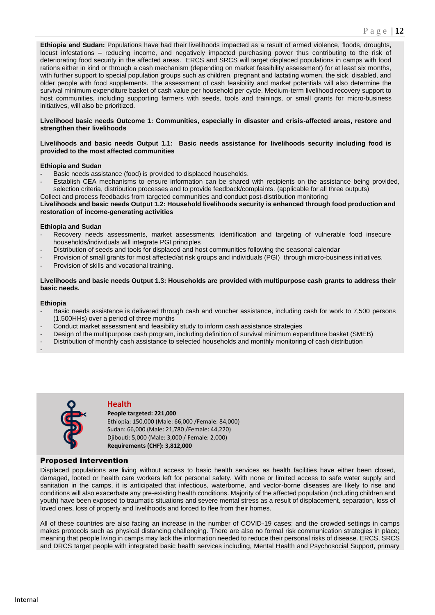**Ethiopia and Sudan:** Populations have had their livelihoods impacted as a result of armed violence, floods, droughts, locust infestations – reducing income, and negatively impacted purchasing power thus contributing to the risk of deteriorating food security in the affected areas. ERCS and SRCS will target displaced populations in camps with food rations either in kind or through a cash mechanism (depending on market feasibility assessment) for at least six months, with further support to special population groups such as children, pregnant and lactating women, the sick, disabled, and older people with food supplements. The assessment of cash feasibility and market potentials will also determine the survival minimum expenditure basket of cash value per household per cycle. Medium-term livelihood recovery support to host communities, including supporting farmers with seeds, tools and trainings, or small grants for micro-business initiatives, will also be prioritized.

### **Livelihood basic needs Outcome 1: Communities, especially in disaster and crisis-affected areas, restore and strengthen their livelihoods**

### **Livelihoods and basic needs Output 1.1: Basic needs assistance for livelihoods security including food is provided to the most affected communities**

### **Ethiopia and Sudan**

- *-* Basic needs assistance (food) is provided to displaced households.
- *-* Establish CEA mechanisms to ensure information can be shared with recipients on the assistance being provided, selection criteria, distribution processes and to provide feedback/complaints. (applicable for all three outputs) Collect and process feedbacks from targeted communities and conduct post-distribution monitoring

**Livelihoods and basic needs Output 1.2: Household livelihoods security is enhanced through food production and restoration of income-generating activities** 

### **Ethiopia and Sudan**

- *-* Recovery needs assessments, market assessments, identification and targeting of vulnerable food insecure households/individuals will integrate PGI principles
- *-* Distribution of seeds and tools for displaced and host communities following the seasonal calendar
- *-* Provision of small grants for most affected/at risk groups and individuals (PGI) through micro-business initiatives.
- *-* Provision of skills and vocational training.

### **Livelihoods and basic needs Output 1.3: Households are provided with multipurpose cash grants to address their basic needs.**

### **Ethiopia**

*-*

- *-* Basic needs assistance is delivered through cash and voucher assistance, including cash for work to 7,500 persons (1,500HHs) over a period of three months
- *-* Conduct market assessment and feasibility study to inform cash assistance strategies
- *-* Design of the multipurpose cash program, including definition of survival minimum expenditure basket (SMEB)
- *-* Distribution of monthly cash assistance to selected households and monthly monitoring of cash distribution



### **Health**

**People targeted: 221,000**  Ethiopia: 150,000 (Male: 66,000 /Female: 84,000) Sudan: 66,000 (Male: 21,780 /Female: 44,220) Djibouti: 5,000 (Male: 3,000 / Female: 2,000) **Requirements (CHF): 3,812,000**

### Proposed intervention

Displaced populations are living without access to basic health services as health facilities have either been closed, damaged, looted or health care workers left for personal safety. With none or limited access to safe water supply and sanitation in the camps, it is anticipated that infectious, waterborne, and vector-borne diseases are likely to rise and conditions will also exacerbate any pre-existing health conditions. Majority of the affected population (including children and youth) have been exposed to traumatic situations and severe mental stress as a result of displacement, separation, loss of loved ones, loss of property and livelihoods and forced to flee from their homes.

All of these countries are also facing an increase in the number of COVID-19 cases; and the crowded settings in camps makes protocols such as physical distancing challenging. There are also no formal risk communication strategies in place; meaning that people living in camps may lack the information needed to reduce their personal risks of disease. ERCS, SRCS and DRCS target people with integrated basic health services including, Mental Health and Psychosocial Support, primary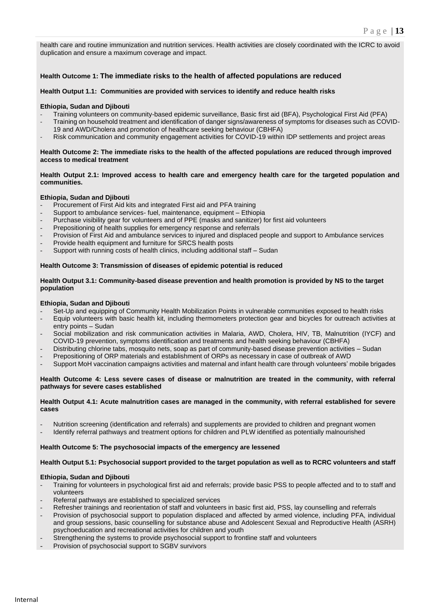health care and routine immunization and nutrition services. Health activities are closely coordinated with the ICRC to avoid duplication and ensure a maximum coverage and impact.

### **Health Outcome 1: The immediate risks to the health of affected populations are reduced**

#### **Health Output 1.1: Communities are provided with services to identify and reduce health risks**

#### **Ethiopia, Sudan and Djibouti**

- *-* Training volunteers on community-based epidemic surveillance, Basic first aid (BFA), Psychological First Aid (PFA)
- *-* Training on household treatment and identification of danger signs/awareness of symptoms for diseases such as COVID-19 and AWD/Cholera and promotion of healthcare seeking behaviour (CBHFA)
- *-* Risk communication and community engagement activities for COVID-19 within IDP settlements and project areas

#### **Health Outcome 2: The immediate risks to the health of the affected populations are reduced through improved access to medical treatment**

#### **Health Output 2.1: Improved access to health care and emergency health care for the targeted population and communities.**

### **Ethiopia, Sudan and Djibouti**

- Procurement of First Aid kits and integrated First aid and PFA training
- Support to ambulance services- fuel, maintenance, equipment Ethiopia
- Purchase visibility gear for volunteers and of PPE (masks and sanitizer) for first aid volunteers
- Prepositioning of health supplies for emergency response and referrals
- Provision of First Aid and ambulance services to injured and displaced people and support to Ambulance services
- Provide health equipment and furniture for SRCS health posts
- Support with running costs of health clinics, including additional staff Sudan

#### **Health Outcome 3: Transmission of diseases of epidemic potential is reduced**

### **Health Output 3.1: Community-based disease prevention and health promotion is provided by NS to the target population**

#### **Ethiopia, Sudan and Djibouti**

- Set-Up and equipping of Community Health Mobilization Points in vulnerable communities exposed to health risks
- Equip volunteers with basic health kit, including thermometers protection gear and bicycles for outreach activities at entry points – Sudan
- Social mobilization and risk communication activities in Malaria, AWD, Cholera, HIV, TB, Malnutrition (IYCF) and COVID-19 prevention, symptoms identification and treatments and health seeking behaviour (CBHFA)
- Distributing chlorine tabs, mosquito nets, soap as part of community-based disease prevention activities Sudan
- Prepositioning of ORP materials and establishment of ORPs as necessary in case of outbreak of AWD
- Support MoH vaccination campaigns activities and maternal and infant health care through volunteers' mobile brigades

#### **Health Outcome 4: Less severe cases of disease or malnutrition are treated in the community, with referral pathways for severe cases established**

#### **Health Output 4.1: Acute malnutrition cases are managed in the community, with referral established for severe cases**

- Nutrition screening (identification and referrals) and supplements are provided to children and pregnant women
- Identify referral pathways and treatment options for children and PLW identified as potentially malnourished

#### **Health Outcome 5: The psychosocial impacts of the emergency are lessened**

#### **Health Output 5.1: Psychosocial support provided to the target population as well as to RCRC volunteers and staff**

### **Ethiopia, Sudan and Djibouti**

- Training for volunteers in psychological first aid and referrals; provide basic PSS to people affected and to to staff and volunteers
- Referral pathways are established to specialized services
- Refresher trainings and reorientation of staff and volunteers in basic first aid, PSS, lay counselling and referrals
- Provision of psychosocial support to population displaced and affected by armed violence, including PFA, individual and group sessions, basic counselling for substance abuse and Adolescent Sexual and Reproductive Health (ASRH) psychoeducation and recreational activities for children and youth
- Strengthening the systems to provide psychosocial support to frontline staff and volunteers
- Provision of psychosocial support to SGBV survivors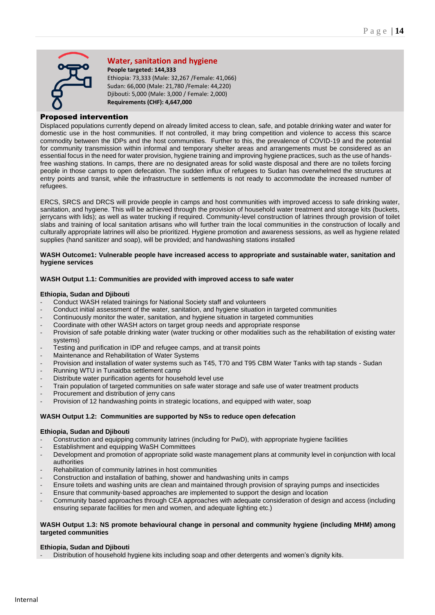

### **Water, sanitation and hygiene**

**People targeted: 144,333**  Ethiopia: 73,333 (Male: 32,267 /Female: 41,066) Sudan: 66,000 (Male: 21,780 /Female: 44,220) Djibouti: 5,000 (Male: 3,000 / Female: 2,000) **Requirements (CHF): 4,647,000**

### Proposed intervention

Displaced populations currently depend on already limited access to clean, safe, and potable drinking water and water for domestic use in the host communities. If not controlled, it may bring competition and violence to access this scarce commodity between the IDPs and the host communities. Further to this, the prevalence of COVID-19 and the potential for community transmission within informal and temporary shelter areas and arrangements must be considered as an essential focus in the need for water provision, hygiene training and improving hygiene practices, such as the use of handsfree washing stations. In camps, there are no designated areas for solid waste disposal and there are no toilets forcing people in those camps to open defecation. The sudden influx of refugees to Sudan has overwhelmed the structures at entry points and transit, while the infrastructure in settlements is not ready to accommodate the increased number of refugees.

ERCS, SRCS and DRCS will provide people in camps and host communities with improved access to safe drinking water, sanitation, and hygiene. This will be achieved through the provision of household water treatment and storage kits (buckets, jerrycans with lids); as well as water trucking if required. Community-level construction of latrines through provision of toilet slabs and training of local sanitation artisans who will further train the local communities in the construction of locally and culturally appropriate latrines will also be prioritized. Hygiene promotion and awareness sessions, as well as hygiene related supplies (hand sanitizer and soap), will be provided; and handwashing stations installed

### **WASH Outcome1: Vulnerable people have increased access to appropriate and sustainable water, sanitation and hygiene services**

### **WASH Output 1.1: Communities are provided with improved access to safe water**

### **Ethiopia, Sudan and Djibouti**

- *-* Conduct WASH related trainings for National Society staff and volunteers
- *-* Conduct initial assessment of the water, sanitation, and hygiene situation in targeted communities
- *-* Continuously monitor the water, sanitation, and hygiene situation in targeted communities
- *-* Coordinate with other WASH actors on target group needs and appropriate response
- *-* Provision of safe potable drinking water (water trucking or other modalities such as the rehabilitation of existing water systems)
- *-* Testing and purification in IDP and refugee camps, and at transit points
- *-* Maintenance and Rehabilitation of Water Systems
- *-* Provision and installation of water systems such as T45, T70 and T95 CBM Water Tanks with tap stands Sudan
- *-* Running WTU in Tunaidba settlement camp
- *-* Distribute water purification agents for household level use
- *-* Train population of targeted communities on safe water storage and safe use of water treatment products
- *-* Procurement and distribution of jerry cans
- *-* Provision of 12 handwashing points in strategic locations, and equipped with water, soap

### **WASH Output 1.2: Communities are supported by NSs to reduce open defecation**

### **Ethiopia, Sudan and Djibouti**

- *-* Construction and equipping community latrines (including for PwD), with appropriate hygiene facilities
- *-* Establishment and equipping WaSH Committees
- *-* Development and promotion of appropriate solid waste management plans at community level in conjunction with local authorities
- *-* Rehabilitation of community latrines in host communities
- *-* Construction and installation of bathing, shower and handwashing units in camps
- *-* Ensure toilets and washing units are clean and maintained through provision of spraying pumps and insecticides
- *-* Ensure that community-based approaches are implemented to support the design and location
- *-* Community based approaches through CEA approaches with adequate consideration of design and access (including ensuring separate facilities for men and women, and adequate lighting etc.)

### **WASH Output 1.3: NS promote behavioural change in personal and community hygiene (including MHM) among targeted communities**

### **Ethiopia, Sudan and Djibouti**

*-* Distribution of household hygiene kits including soap and other detergents and women's dignity kits.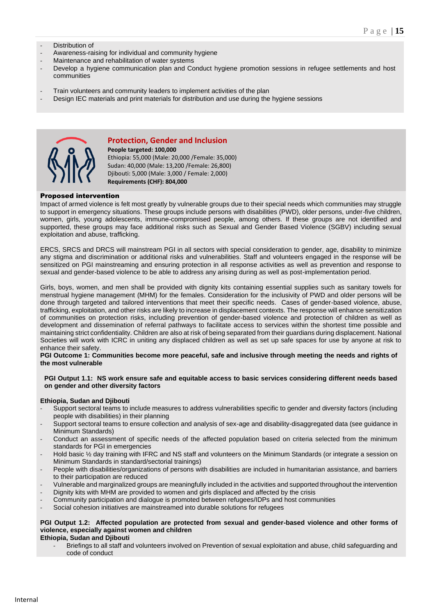- *-* Distribution of
- *-* Awareness-raising for individual and community hygiene
- *-* Maintenance and rehabilitation of water systems
- *-* Develop a hygiene communication plan and Conduct hygiene promotion sessions in refugee settlements and host communities
- *-* Train volunteers and community leaders to implement activities of the plan
- *-* Design IEC materials and print materials for distribution and use during the hygiene sessions



### **Protection, Gender and Inclusion**

**People targeted: 100,000**  Ethiopia: 55,000 (Male: 20,000 /Female: 35,000) Sudan: 40,000 (Male: 13,200 /Female: 26,800) Djibouti: 5,000 (Male: 3,000 / Female: 2,000) **Requirements (CHF): 804,000**

### Proposed intervention

Impact of armed violence is felt most greatly by vulnerable groups due to their special needs which communities may struggle to support in emergency situations. These groups include persons with disabilities (PWD), older persons, under-five children, women, girls, young adolescents, immune-compromised people, among others. If these groups are not identified and supported, these groups may face additional risks such as Sexual and Gender Based Violence (SGBV) including sexual exploitation and abuse, trafficking.

ERCS, SRCS and DRCS will mainstream PGI in all sectors with special consideration to gender, age, disability to minimize any stigma and discrimination or additional risks and vulnerabilities. Staff and volunteers engaged in the response will be sensitized on PGI mainstreaming and ensuring protection in all response activities as well as prevention and response to sexual and gender-based violence to be able to address any arising during as well as post-implementation period.

Girls, boys, women, and men shall be provided with dignity kits containing essential supplies such as sanitary towels for menstrual hygiene management (MHM) for the females. Consideration for the inclusivity of PWD and older persons will be done through targeted and tailored interventions that meet their specific needs. Cases of gender-based violence, abuse, trafficking, exploitation, and other risks are likely to increase in displacement contexts. The response will enhance sensitization of communities on protection risks, including prevention of gender-based violence and protection of children as well as development and dissemination of referral pathways to facilitate access to services within the shortest time possible and maintaining strict confidentiality. Children are also at risk of being separated from their guardians during displacement. National Societies will work with ICRC in uniting any displaced children as well as set up safe spaces for use by anyone at risk to enhance their safety.

### **PGI Outcome 1: Communities become more peaceful, safe and inclusive through meeting the needs and rights of the most vulnerable**

### **PGI Output 1.1: NS work ensure safe and equitable access to basic services considering different needs based on gender and other diversity factors**

### **Ethiopia, Sudan and Djibouti**

- *-* Support sectoral teams to include measures to address vulnerabilities specific to gender and diversity factors (including people with disabilities) in their planning
- *-* Support sectoral teams to ensure collection and analysis of sex-age and disability-disaggregated data (see guidance in Minimum Standards)
- *-* Conduct an assessment of specific needs of the affected population based on criteria selected from the minimum standards for PGI in emergencies
- *-* Hold basic ½ day training with IFRC and NS staff and volunteers on the Minimum Standards (or integrate a session on Minimum Standards in standard/sectorial trainings)
- *-* People with disabilities/organizations of persons with disabilities are included in humanitarian assistance, and barriers to their participation are reduced
- *-* Vulnerable and marginalized groups are meaningfully included in the activities and supported throughout the intervention
- *-* Dignity kits with MHM are provided to women and girls displaced and affected by the crisis
- *-* Community participation and dialogue is promoted between refugees/IDPs and host communities
- *-* Social cohesion initiatives are mainstreamed into durable solutions for refugees

### **PGI Output 1.2: Affected population are protected from sexual and gender-based violence and other forms of violence, especially against women and children**

**Ethiopia, Sudan and Djibouti**

*-* Briefings to all staff and volunteers involved on Prevention of sexual exploitation and abuse, child safeguarding and code of conduct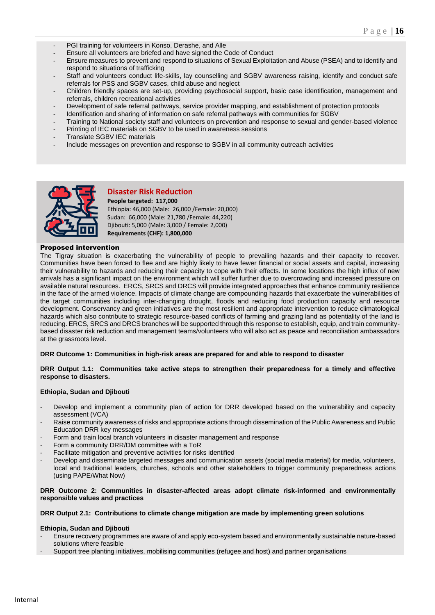- *-* PGI training for volunteers in Konso, Derashe, and Alle
- *-* Ensure all volunteers are briefed and have signed the Code of Conduct
- *-* Ensure measures to prevent and respond to situations of Sexual Exploitation and Abuse (PSEA) and to identify and respond to situations of trafficking
- *-* Staff and volunteers conduct life-skills, lay counselling and SGBV awareness raising, identify and conduct safe referrals for PSS and SGBV cases, child abuse and neglect
- *-* Children friendly spaces are set-up, providing psychosocial support, basic case identification, management and referrals, children recreational activities
- *-* Development of safe referral pathways, service provider mapping, and establishment of protection protocols
- *-* Identification and sharing of information on safe referral pathways with communities for SGBV
- *-* Training to National society staff and volunteers on prevention and response to sexual and gender-based violence
- *-* Printing of IEC materials on SGBV to be used in awareness sessions
- *-* Translate SGBV IEC materials
- *-* Include messages on prevention and response to SGBV in all community outreach activities



### **Disaster Risk Reduction**

**People targeted: 117,000**  Ethiopia: 46,000 (Male: 26,000 /Female: 20,000) Sudan: 66,000 (Male: 21,780 /Female: 44,220) Djibouti: 5,000 (Male: 3,000 / Female: 2,000) **Requirements (CHF): 1,800,000**

### Proposed intervention

The Tigray situation is exacerbating the vulnerability of people to prevailing hazards and their capacity to recover. Communities have been forced to flee and are highly likely to have fewer financial or social assets and capital, increasing their vulnerability to hazards and reducing their capacity to cope with their effects. In some locations the high influx of new arrivals has a significant impact on the environment which will suffer further due to overcrowding and increased pressure on available natural resources. ERCS, SRCS and DRCS will provide integrated approaches that enhance community resilience in the face of the armed violence. Impacts of climate change are compounding hazards that exacerbate the vulnerabilities of the target communities including inter-changing drought, floods and reducing food production capacity and resource development. Conservancy and green initiatives are the most resilient and appropriate intervention to reduce climatological hazards which also contribute to strategic resource-based conflicts of farming and grazing land as potentiality of the land is reducing. ERCS, SRCS and DRCS branches will be supported through this response to establish, equip, and train communitybased disaster risk reduction and management teams/volunteers who will also act as peace and reconciliation ambassadors at the grassroots level.

### **DRR Outcome 1: Communities in high-risk areas are prepared for and able to respond to disaster**

### **DRR Output 1.1: Communities take active steps to strengthen their preparedness for a timely and effective response to disasters.**

### **Ethiopia, Sudan and Djibouti**

- *-* Develop and implement a community plan of action for DRR developed based on the vulnerability and capacity assessment (VCA)
- *-* Raise community awareness of risks and appropriate actions through dissemination of the Public Awareness and Public Education DRR key messages
- *-* Form and train local branch volunteers in disaster management and response
- *-* Form a community DRR/DM committee with a ToR
- *-* Facilitate mitigation and preventive activities for risks identified
- *-* Develop and disseminate targeted messages and communication assets (social media material) for media, volunteers, local and traditional leaders, churches, schools and other stakeholders to trigger community preparedness actions (using PAPE/What Now)

### **DRR Outcome 2: Communities in disaster-affected areas adopt climate risk-informed and environmentally responsible values and practices**

### **DRR Output 2.1: Contributions to climate change mitigation are made by implementing green solutions**

### **Ethiopia, Sudan and Djibouti**

- *-* Ensure recovery programmes are aware of and apply eco-system based and environmentally sustainable nature-based solutions where feasible
- *-* Support tree planting initiatives, mobilising communities (refugee and host) and partner organisations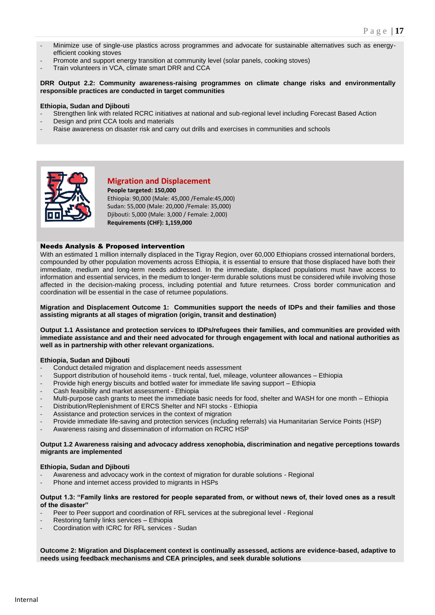- *-* Minimize use of single-use plastics across programmes and advocate for sustainable alternatives such as energyefficient cooking stoves
- *-* Promote and support energy transition at community level (solar panels, cooking stoves)
- *-* Train volunteers in VCA, climate smart DRR and CCA

### **DRR Output 2.2: Community awareness-raising programmes on climate change risks and environmentally responsible practices are conducted in target communities**

### **Ethiopia, Sudan and Djibouti**

- *-* Strengthen link with related RCRC initiatives at national and sub-regional level including Forecast Based Action
- *-* Design and print CCA tools and materials
- *-* Raise awareness on disaster risk and carry out drills and exercises in communities and schools



### **Migration and Displacement**

**People targeted: 150,000**  Ethiopia: 90,000 (Male: 45,000 /Female:45,000) Sudan: 55,000 (Male: 20,000 /Female: 35,000) Djibouti: 5,000 (Male: 3,000 / Female: 2,000) **Requirements (CHF): 1,159,000**

### Needs Analysis & Proposed intervention

With an estimated 1 million internally displaced in the Tigray Region, over 60,000 Ethiopians crossed international borders, compounded by other population movements across Ethiopia, it is essential to ensure that those displaced have both their immediate, medium and long-term needs addressed. In the immediate, displaced populations must have access to information and essential services, in the medium to longer-term durable solutions must be considered while involving those affected in the decision-making process, including potential and future returnees. Cross border communication and coordination will be essential in the case of returnee populations.

**Migration and Displacement Outcome 1: Communities support the needs of IDPs and their families and those assisting migrants at all stages of migration (origin, transit and destination)**

**Output 1.1 Assistance and protection services to IDPs/refugees their families, and communities are provided with immediate assistance and and their need advocated for through engagement with local and national authorities as well as in partnership with other relevant organizations.**

### **Ethiopia, Sudan and Djibouti**

- Conduct detailed migration and displacement needs assessment
- Support distribution of household items truck rental, fuel, mileage, volunteer allowances Ethiopia
- Provide high energy biscuits and bottled water for immediate life saving support Ethiopia
- Cash feasibility and market assessment Ethiopia
- Multi-purpose cash grants to meet the immediate basic needs for food, shelter and WASH for one month Ethiopia
- Distribution/Replenishment of ERCS Shelter and NFI stocks Ethiopia
- Assistance and protection services in the context of migration
- Provide immediate life-saving and protection services (including referrals) via Humanitarian Service Points (HSP)
- Awareness raising and dissemination of information on RCRC HSP

### **Output 1.2 Awareness raising and advocacy address xenophobia, discrimination and negative perceptions towards migrants are implemented**

### **Ethiopia, Sudan and Djibouti**

- Awareness and advocacy work in the context of migration for durable solutions Regional
- Phone and internet access provided to migrants in HSPs

### **Output 1.3: "Family links are restored for people separated from, or without news of, their loved ones as a result of the disaster"**

- Peer to Peer support and coordination of RFL services at the subregional level Regional
- Restoring family links services Ethiopia
- Coordination with ICRC for RFL services Sudan

**Outcome 2: Migration and Displacement context is continually assessed, actions are evidence-based, adaptive to needs using feedback mechanisms and CEA principles, and seek durable solutions**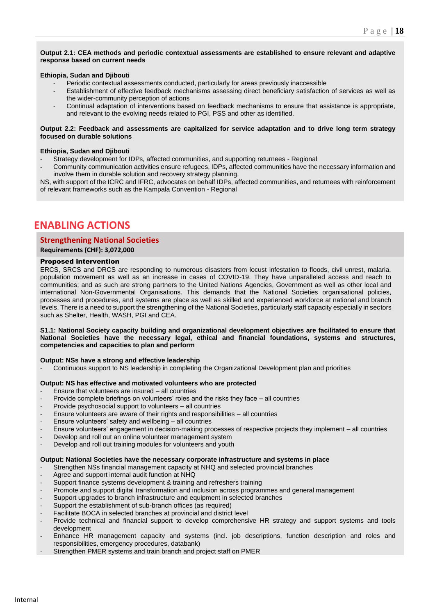### **Output 2.1: CEA methods and periodic contextual assessments are established to ensure relevant and adaptive response based on current needs**

### **Ethiopia, Sudan and Djibouti**

- Periodic contextual assessments conducted, particularly for areas previously inaccessible
- Establishment of effective feedback mechanisms assessing direct beneficiary satisfaction of services as well as the wider-community perception of actions
- Continual adaptation of interventions based on feedback mechanisms to ensure that assistance is appropriate, and relevant to the evolving needs related to PGI, PSS and other as identified.

### **Output 2.2: Feedback and assessments are capitalized for service adaptation and to drive long term strategy focused on durable solutions**

### **Ethiopia, Sudan and Djibouti**

- Strategy development for IDPs, affected communities, and supporting returnees Regional
- Community communication activities ensure refugees, IDPs, affected communities have the necessary information and involve them in durable solution and recovery strategy planning.

NS, with support of the ICRC and IFRC, advocates on behalf IDPs, affected communities, and returnees with reinforcement of relevant frameworks such as the Kampala Convention - Regional

## **ENABLING ACTIONS**

### **Strengthening National Societies**

**Requirements (CHF): 3,072,000**

### Proposed intervention

ERCS, SRCS and DRCS are responding to numerous disasters from locust infestation to floods, civil unrest, malaria, population movement as well as an increase in cases of COVID-19. They have unparalleled access and reach to communities; and as such are strong partners to the United Nations Agencies, Government as well as other local and international Non-Governmental Organisations. This demands that the National Societies organisational policies, processes and procedures, and systems are place as well as skilled and experienced workforce at national and branch levels. There is a need to support the strengthening of the National Societies, particularly staff capacity especially in sectors such as Shelter, Health, WASH, PGI and CEA.

### **S1.1: National Society capacity building and organizational development objectives are facilitated to ensure that National Societies have the necessary legal, ethical and financial foundations, systems and structures, competencies and capacities to plan and perform**

### **Output: NSs have a strong and effective leadership**

*-* Continuous support to NS leadership in completing the Organizational Development plan and priorities

### **Output: NS has effective and motivated volunteers who are protected**

- *-* Ensure that volunteers are insured all countries
- *-* Provide complete briefings on volunteers' roles and the risks they face all countries
- *-* Provide psychosocial support to volunteers all countries
- *-* Ensure volunteers are aware of their rights and responsibilities all countries
- *-* Ensure volunteers' safety and wellbeing all countries
- *-* Ensure volunteers' engagement in decision-making processes of respective projects they implement all countries
- *-* Develop and roll out an online volunteer management system
- *-* Develop and roll out training modules for volunteers and youth

### **Output: National Societies have the necessary corporate infrastructure and systems in place**

- *-* Strengthen NSs financial management capacity at NHQ and selected provincial branches
- *-* Agree and support internal audit function at NHQ
- *-* Support finance systems development & training and refreshers training
- *-* Promote and support digital transformation and inclusion across programmes and general management
- *-* Support upgrades to branch infrastructure and equipment in selected branches
- *-* Support the establishment of sub-branch offices (as required)
- *-* Facilitate BOCA in selected branches at provincial and district level
- *-* Provide technical and financial support to develop comprehensive HR strategy and support systems and tools development
- *-* Enhance HR management capacity and systems (incl. job descriptions, function description and roles and responsibilities, emergency procedures, databank)
- *-* Strengthen PMER systems and train branch and project staff on PMER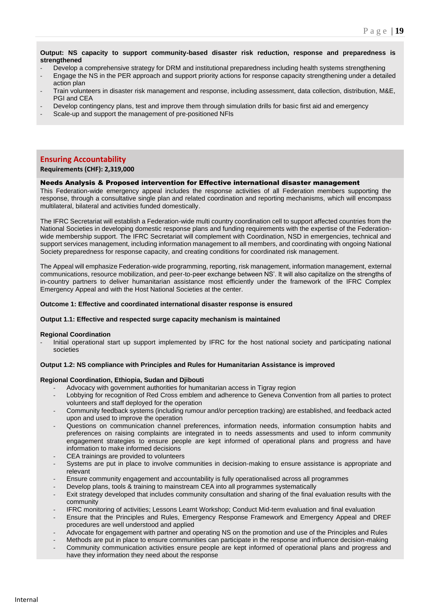**Output: NS capacity to support community-based disaster risk reduction, response and preparedness is strengthened**

- *-* Develop a comprehensive strategy for DRM and institutional preparedness including health systems strengthening
- *-* Engage the NS in the PER approach and support priority actions for response capacity strengthening under a detailed action plan
- *-* Train volunteers in disaster risk management and response, including assessment, data collection, distribution, M&E, PGI and CEA
- *-* Develop contingency plans, test and improve them through simulation drills for basic first aid and emergency
- *-* Scale-up and support the management of pre-positioned NFIs

### **Ensuring Accountability**

### **Requirements (CHF): 2,319,000**

### Needs Analysis & Proposed intervention for Effective international disaster management

This Federation-wide emergency appeal includes the response activities of all Federation members supporting the response, through a consultative single plan and related coordination and reporting mechanisms, which will encompass multilateral, bilateral and activities funded domestically.

The IFRC Secretariat will establish a Federation-wide multi country coordination cell to support affected countries from the National Societies in developing domestic response plans and funding requirements with the expertise of the Federationwide membership support. The IFRC Secretariat will complement with Coordination, NSD in emergencies, technical and support services management, including information management to all members, and coordinating with ongoing National Society preparedness for response capacity, and creating conditions for coordinated risk management.

The Appeal will emphasize Federation-wide programming, reporting, risk management, information management, external communications, resource mobilization, and peer-to-peer exchange between NS'. It will also capitalize on the strengths of in-country partners to deliver humanitarian assistance most efficiently under the framework of the IFRC Complex Emergency Appeal and with the Host National Societies at the center.

#### **Outcome 1: Effective and coordinated international disaster response is ensured**

### **Output 1.1: Effective and respected surge capacity mechanism is maintained**

### **Regional Coordination**

*-* Initial operational start up support implemented by IFRC for the host national society and participating national societies

### **Output 1.2: NS compliance with Principles and Rules for Humanitarian Assistance is improved**

### **Regional Coordination, Ethiopia, Sudan and Djibouti**

- *-* Advocacy with government authorities for humanitarian access in Tigray region
- *-* Lobbying for recognition of Red Cross emblem and adherence to Geneva Convention from all parties to protect volunteers and staff deployed for the operation
- *-* Community feedback systems (including rumour and/or perception tracking) are established, and feedback acted upon and used to improve the operation
- *-* Questions on communication channel preferences, information needs, information consumption habits and preferences on raising complaints are integrated in to needs assessments and used to inform community engagement strategies to ensure people are kept informed of operational plans and progress and have information to make informed decisions
- *-* CEA trainings are provided to volunteers
- *-* Systems are put in place to involve communities in decision-making to ensure assistance is appropriate and relevant
- *-* Ensure community engagement and accountability is fully operationalised across all programmes
- *-* Develop plans, tools & training to mainstream CEA into all programmes systematically
- *-* Exit strategy developed that includes community consultation and sharing of the final evaluation results with the community
	- *-* IFRC monitoring of activities; Lessons Learnt Workshop; Conduct Mid-term evaluation and final evaluation
- *-* Ensure that the Principles and Rules, Emergency Response Framework and Emergency Appeal and DREF procedures are well understood and applied
- *-* Advocate for engagement with partner and operating NS on the promotion and use of the Principles and Rules
- *-* Methods are put in place to ensure communities can participate in the response and influence decision-making
- *-* Community communication activities ensure people are kept informed of operational plans and progress and have they information they need about the response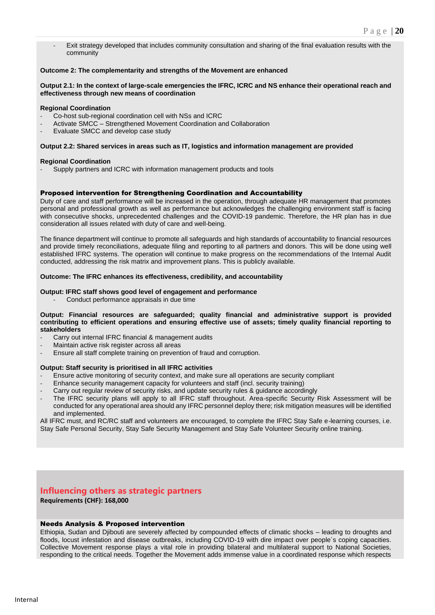*-* Exit strategy developed that includes community consultation and sharing of the final evaluation results with the community

### **Outcome 2: The complementarity and strengths of the Movement are enhanced**

#### **Output 2.1: In the context of large-scale emergencies the IFRC, ICRC and NS enhance their operational reach and effectiveness through new means of coordination**

#### **Regional Coordination**

- *-* Co-host sub-regional coordination cell with NSs and ICRC
- *-* Activate SMCC Strengthened Movement Coordination and Collaboration
- *-* Evaluate SMCC and develop case study

#### **Output 2.2: Shared services in areas such as IT, logistics and information management are provided**

#### **Regional Coordination**

*-* Supply partners and ICRC with information management products and tools

#### Proposed intervention for Strengthening Coordination and Accountability

Duty of care and staff performance will be increased in the operation, through adequate HR management that promotes personal and professional growth as well as performance but acknowledges the challenging environment staff is facing with consecutive shocks, unprecedented challenges and the COVID-19 pandemic. Therefore, the HR plan has in due consideration all issues related with duty of care and well-being.

The finance department will continue to promote all safeguards and high standards of accountability to financial resources and provide timely reconciliations, adequate filing and reporting to all partners and donors. This will be done using well established IFRC systems. The operation will continue to make progress on the recommendations of the Internal Audit conducted, addressing the risk matrix and improvement plans. This is publicly available.

#### **Outcome: The IFRC enhances its effectiveness, credibility, and accountability**

#### **Output: IFRC staff shows good level of engagement and performance**

*-* Conduct performance appraisals in due time

#### **Output: Financial resources are safeguarded; quality financial and administrative support is provided contributing to efficient operations and ensuring effective use of assets; timely quality financial reporting to stakeholders**

- *-* Carry out internal IFRC financial & management audits
- *-* Maintain active risk register across all areas
- *-* Ensure all staff complete training on prevention of fraud and corruption.

#### **Output: Staff security is prioritised in all IFRC activities**

- *-* Ensure active monitoring of security context, and make sure all operations are security compliant
- *-* Enhance security management capacity for volunteers and staff (incl. security training)
- *-* Carry out regular review of security risks, and update security rules & guidance accordingly
- The IFRC security plans will apply to all IFRC staff throughout. Area-specific Security Risk Assessment will be conducted for any operational area should any IFRC personnel deploy there; risk mitigation measures will be identified and implemented.

All IFRC must, and RC/RC staff and volunteers are encouraged, to complete the IFRC Stay Safe e-learning courses, i.e. Stay Safe Personal Security, Stay Safe Security Management and Stay Safe Volunteer Security online training.

### **Influencing others as strategic partners**

**Requirements (CHF): 168,000**

### Needs Analysis & Proposed intervention

Ethiopia, Sudan and Djibouti are severely affected by compounded effects of climatic shocks – leading to droughts and floods, locust infestation and disease outbreaks, including COVID-19 with dire impact over people´s coping capacities. Collective Movement response plays a vital role in providing bilateral and multilateral support to National Societies, responding to the critical needs. Together the Movement adds immense value in a coordinated response which respects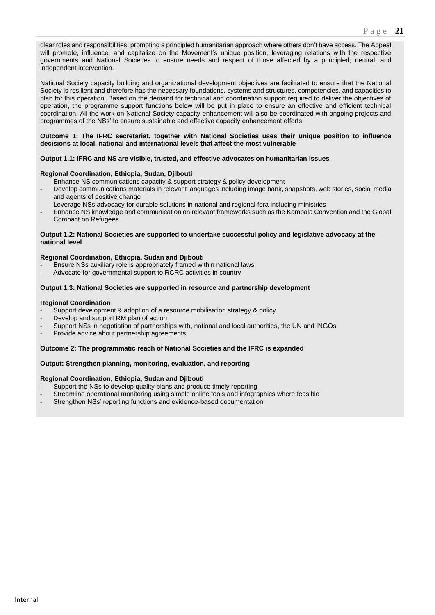clear roles and responsibilities, promoting a principled humanitarian approach where others don't have access. The Appeal will promote, influence, and capitalize on the Movement's unique position, leveraging relations with the respective governments and National Societies to ensure needs and respect of those affected by a principled, neutral, and independent intervention.

National Society capacity building and organizational development objectives are facilitated to ensure that the National Society is resilient and therefore has the necessary foundations, systems and structures, competencies, and capacities to plan for this operation. Based on the demand for technical and coordination support required to deliver the objectives of operation, the programme support functions below will be put in place to ensure an effective and efficient technical coordination. All the work on National Society capacity enhancement will also be coordinated with ongoing projects and programmes of the NSs' to ensure sustainable and effective capacity enhancement efforts.

### **Outcome 1: The IFRC secretariat, together with National Societies uses their unique position to influence decisions at local, national and international levels that affect the most vulnerable**

### **Output 1.1: IFRC and NS are visible, trusted, and effective advocates on humanitarian issues**

### **Regional Coordination, Ethiopia, Sudan, Djibouti**

- *-* Enhance NS communications capacity & support strategy & policy development
- *-* Develop communications materials in relevant languages including image bank, snapshots, web stories, social media and agents of positive change
- *-* Leverage NSs advocacy for durable solutions in national and regional fora including ministries
- *-* Enhance NS knowledge and communication on relevant frameworks such as the Kampala Convention and the Global Compact on Refugees

#### **Output 1.2: National Societies are supported to undertake successful policy and legislative advocacy at the national level**

### **Regional Coordination, Ethiopia, Sudan and Djibouti**

- *-* Ensure NSs auxiliary role is appropriately framed within national laws
- *-* Advocate for governmental support to RCRC activities in country

### **Output 1.3: National Societies are supported in resource and partnership development**

### **Regional Coordination**

- Support development & adoption of a resource mobilisation strategy & policy
- *-* Develop and support RM plan of action
- *-* Support NSs in negotiation of partnerships with, national and local authorities, the UN and INGOs
- *-* Provide advice about partnership agreements

### **Outcome 2: The programmatic reach of National Societies and the IFRC is expanded**

### **Output: Strengthen planning, monitoring, evaluation, and reporting**

### **Regional Coordination, Ethiopia, Sudan and Djibouti**

- *-* Support the NSs to develop quality plans and produce timely reporting
- *-* Streamline operational monitoring using simple online tools and infographics where feasible
- *-* Strengthen NSs' reporting functions and evidence-based documentation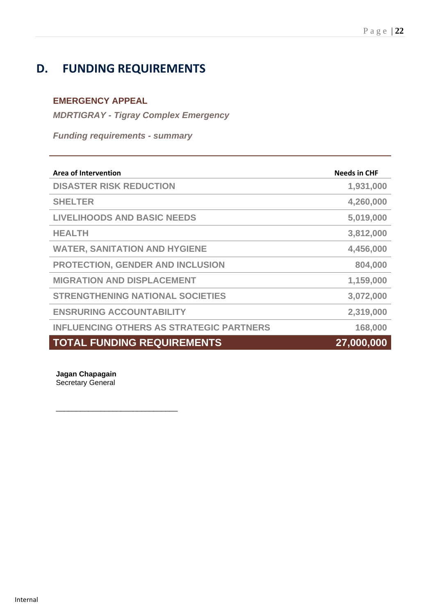## **D. FUNDING REQUIREMENTS**

### **EMERGENCY APPEAL**

*MDRTIGRAY - Tigray Complex Emergency*

*Funding requirements - summary*

| <b>Area of Intervention</b>                     | <b>Needs in CHF</b> |
|-------------------------------------------------|---------------------|
| <b>DISASTER RISK REDUCTION</b>                  | 1,931,000           |
| <b>SHELTER</b>                                  | 4,260,000           |
| <b>LIVELIHOODS AND BASIC NEEDS</b>              | 5,019,000           |
| <b>HEALTH</b>                                   | 3,812,000           |
| <b>WATER, SANITATION AND HYGIENE</b>            | 4,456,000           |
| <b>PROTECTION, GENDER AND INCLUSION</b>         | 804,000             |
| <b>MIGRATION AND DISPLACEMENT</b>               | 1,159,000           |
| <b>STRENGTHENING NATIONAL SOCIETIES</b>         | 3,072,000           |
| <b>ENSRURING ACCOUNTABILITY</b>                 | 2,319,000           |
| <b>INFLUENCING OTHERS AS STRATEGIC PARTNERS</b> | 168,000             |
| <b>TOTAL FUNDING REQUIREMENTS</b>               | 27,000,000          |

**Jagan Chapagain** Secretary General

\_\_\_\_\_\_\_\_\_\_\_\_\_\_\_\_\_\_\_\_\_\_\_\_\_\_\_\_\_\_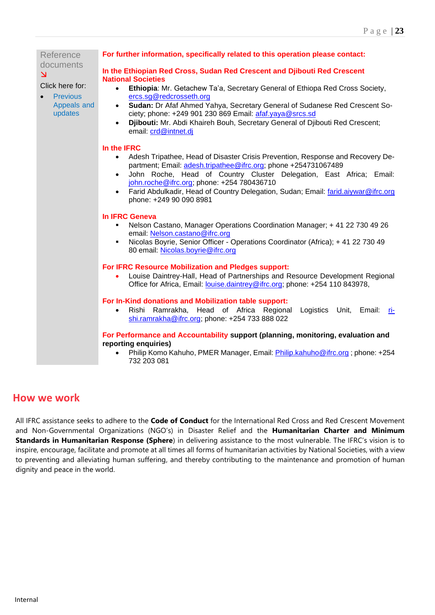| Reference                                                                                            | For further information, specifically related to this operation please contact:                                                                                                                                                                                                                                                                                                                                                                                                             |  |  |  |
|------------------------------------------------------------------------------------------------------|---------------------------------------------------------------------------------------------------------------------------------------------------------------------------------------------------------------------------------------------------------------------------------------------------------------------------------------------------------------------------------------------------------------------------------------------------------------------------------------------|--|--|--|
| documents<br>$\overline{\mathbf{N}}$<br>Click here for:<br><b>Previous</b><br>Appeals and<br>updates | In the Ethiopian Red Cross, Sudan Red Crescent and Djibouti Red Crescent<br><b>National Societies</b><br>Ethiopia: Mr. Getachew Ta'a, Secretary General of Ethiopa Red Cross Society,<br>$\bullet$<br>ercs.sg@redcrosseth.org<br>Sudan: Dr Afaf Ahmed Yahya, Secretary General of Sudanese Red Crescent So-<br>$\bullet$<br>ciety; phone: +249 901 230 869 Email: afaf.yaya@srcs.sd<br>Djibouti: Mr. Abdi Khaireh Bouh, Secretary General of Djibouti Red Crescent;<br>email: crd@intnet.dj |  |  |  |
|                                                                                                      | In the IFRC<br>Adesh Tripathee, Head of Disaster Crisis Prevention, Response and Recovery De-<br>$\bullet$<br>partment; Email: adesh.tripathee@ifrc.org; phone +254731067489<br>John Roche, Head of Country Cluster Delegation, East Africa; Email:<br>$\bullet$<br>john.roche@ifrc.org; phone: +254 780436710<br>Farid Abdulkadir, Head of Country Delegation, Sudan; Email: farid.aiywar@ifrc.org<br>$\bullet$<br>phone: +249 90 090 8981                                                 |  |  |  |
|                                                                                                      | <b>In IFRC Geneva</b><br>Nelson Castano, Manager Operations Coordination Manager; + 41 22 730 49 26<br>email: Nelson.castano@ifrc.org<br>Nicolas Boyrie, Senior Officer - Operations Coordinator (Africa); + 41 22 730 49<br>80 email: Nicolas.boyrie@ifrc.org                                                                                                                                                                                                                              |  |  |  |
|                                                                                                      | For IFRC Resource Mobilization and Pledges support:<br>Louise Daintrey-Hall, Head of Partnerships and Resource Development Regional<br>Office for Africa, Email: louise.daintrey@ifrc.org; phone: +254 110 843978,                                                                                                                                                                                                                                                                          |  |  |  |
|                                                                                                      | For In-Kind donations and Mobilization table support:<br>Rishi Ramrakha, Head of Africa Regional Logistics Unit, Email:<br>$\bullet$<br>ri-<br>shi.ramrakha@ifrc.org; phone: +254 733 888 022                                                                                                                                                                                                                                                                                               |  |  |  |
|                                                                                                      | For Performance and Accountability support (planning, monitoring, evaluation and<br>reporting enquiries)<br>Philip Komo Kahuho, PMER Manager, Email: Philip.kahuho@ifrc.org; phone: +254<br>732 203 081                                                                                                                                                                                                                                                                                     |  |  |  |

## **How we work**

All IFRC assistance seeks to adhere to the **Code of Conduct** for the International Red Cross and Red Crescent Movement and Non-Governmental Organizations (NGO's) in Disaster Relief and the **Humanitarian Charter and Minimum Standards in Humanitarian Response (Sphere**) in delivering assistance to the most vulnerable. The IFRC's vision is to inspire, encourage, facilitate and promote at all times all forms of humanitarian activities by National Societies, with a view to preventing and alleviating human suffering, and thereby contributing to the maintenance and promotion of human dignity and peace in the world.